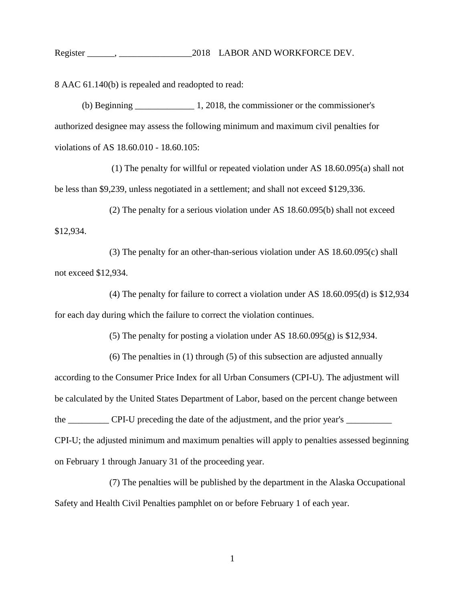Register \_\_\_\_\_\_, \_\_\_\_\_\_\_\_\_\_\_\_\_\_\_\_2018 LABOR AND WORKFORCE DEV.

8 AAC 61.140(b) is repealed and readopted to read:

(b) Beginning 1, 2018, the commissioner or the commissioner's authorized designee may assess the following minimum and maximum civil penalties for violations of AS 18.60.010 - 18.60.105:

(1) The penalty for willful or repeated violation under AS 18.60.095(a) shall not be less than \$9,239, unless negotiated in a settlement; and shall not exceed \$129,336.

(2) The penalty for a serious violation under AS 18.60.095(b) shall not exceed \$12,934.

(3) The penalty for an other-than-serious violation under AS 18.60.095(c) shall not exceed \$12,934.

(4) The penalty for failure to correct a violation under AS 18.60.095(d) is \$12,934 for each day during which the failure to correct the violation continues.

(5) The penalty for posting a violation under AS 18.60.095(g) is \$12,934.

(6) The penalties in (1) through (5) of this subsection are adjusted annually according to the Consumer Price Index for all Urban Consumers (CPI-U). The adjustment will be calculated by the United States Department of Labor, based on the percent change between the \_\_\_\_\_\_\_\_\_ CPI-U preceding the date of the adjustment, and the prior year's \_\_\_\_\_\_\_\_ CPI-U; the adjusted minimum and maximum penalties will apply to penalties assessed beginning on February 1 through January 31 of the proceeding year.

(7) The penalties will be published by the department in the Alaska Occupational Safety and Health Civil Penalties pamphlet on or before February 1 of each year.

1